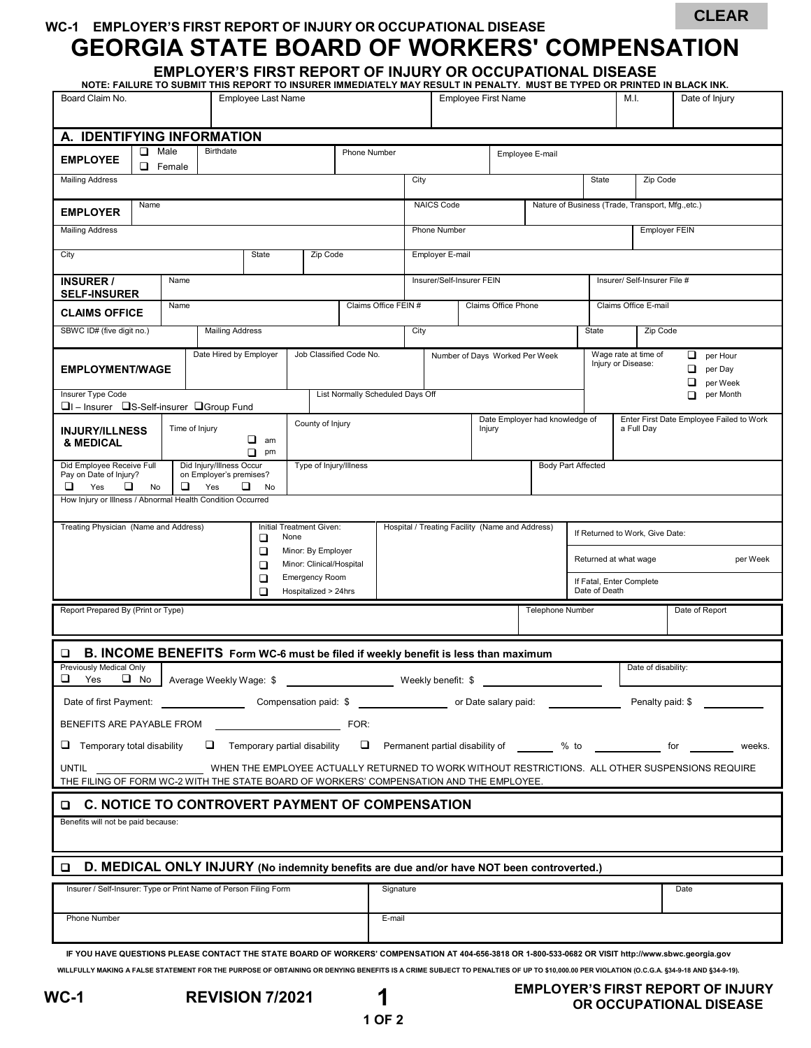**WC-1 EMPLOYER'S FIRST REPORT OF INJURY OR OCCUPATIONAL DISEASE**

## **GEORGIA STATE BOARD OF WORKERS' COMPENSATION**

**EMPLOYER'S FIRST REPORT OF INJURY OR OCCUPATIONAL DISEASE**

| Board Claim No.                                                                                                                                                                                                                                                                                                                                  |                                                                 | NOTE: FAILURE TO SUBMIT THIS REPORT TO INSURER IMMEDIATELY MAY RESULT IN PENALTY. MUST BE TYPED OR PRINTED IN BLACK INK.<br><b>Employee First Name</b><br>M.I. |                                  |                                                 |                                |                      | Date of Injury |                                                        |                                                                                                           |          |  |
|--------------------------------------------------------------------------------------------------------------------------------------------------------------------------------------------------------------------------------------------------------------------------------------------------------------------------------------------------|-----------------------------------------------------------------|----------------------------------------------------------------------------------------------------------------------------------------------------------------|----------------------------------|-------------------------------------------------|--------------------------------|----------------------|----------------|--------------------------------------------------------|-----------------------------------------------------------------------------------------------------------|----------|--|
| A. IDENTIFYING INFORMATION                                                                                                                                                                                                                                                                                                                       |                                                                 |                                                                                                                                                                |                                  |                                                 |                                |                      |                |                                                        |                                                                                                           |          |  |
| <b>Birthdate</b><br>◻<br>Male<br><b>Phone Number</b><br>Employee E-mail                                                                                                                                                                                                                                                                          |                                                                 |                                                                                                                                                                |                                  |                                                 |                                |                      |                |                                                        |                                                                                                           |          |  |
| <b>EMPLOYEE</b><br>◻<br>Female                                                                                                                                                                                                                                                                                                                   |                                                                 |                                                                                                                                                                |                                  |                                                 |                                |                      |                |                                                        |                                                                                                           |          |  |
| <b>Mailing Address</b>                                                                                                                                                                                                                                                                                                                           |                                                                 |                                                                                                                                                                |                                  | City                                            |                                |                      |                | State                                                  |                                                                                                           | Zip Code |  |
| Name<br><b>EMPLOYER</b>                                                                                                                                                                                                                                                                                                                          |                                                                 |                                                                                                                                                                |                                  | <b>NAICS Code</b>                               |                                |                      |                | Nature of Business (Trade, Transport, Mfg.,etc.)       |                                                                                                           |          |  |
| <b>Mailing Address</b>                                                                                                                                                                                                                                                                                                                           |                                                                 |                                                                                                                                                                |                                  | Phone Number                                    |                                |                      |                |                                                        | <b>Employer FEIN</b>                                                                                      |          |  |
| State<br>Zip Code<br>City                                                                                                                                                                                                                                                                                                                        |                                                                 |                                                                                                                                                                |                                  | Employer E-mail                                 |                                |                      |                |                                                        |                                                                                                           |          |  |
| Name<br><b>INSURER /</b><br><b>SELF-INSURER</b>                                                                                                                                                                                                                                                                                                  |                                                                 |                                                                                                                                                                |                                  | Insurer/Self-Insurer FEIN                       |                                |                      |                |                                                        | Insurer/ Self-Insurer File #                                                                              |          |  |
| Name<br><b>CLAIMS OFFICE</b>                                                                                                                                                                                                                                                                                                                     | Claims Office FEIN #                                            | Claims Office Phone                                                                                                                                            |                                  |                                                 |                                | Claims Office E-mail |                |                                                        |                                                                                                           |          |  |
| SBWC ID# (five digit no.)                                                                                                                                                                                                                                                                                                                        | <b>Mailing Address</b>                                          |                                                                                                                                                                |                                  | City                                            |                                |                      |                | State<br>Zip Code                                      |                                                                                                           |          |  |
| Date Hired by Employer<br>Job Classified Code No.<br><b>EMPLOYMENT/WAGE</b><br>Insurer Type Code                                                                                                                                                                                                                                                 |                                                                 |                                                                                                                                                                | List Normally Scheduled Days Off |                                                 | Number of Days Worked Per Week |                      |                |                                                        | Wage rate at time of<br>per Hour<br>Injury or Disease:<br>❏<br>per Day<br>❏<br>per Week<br>per Month<br>◻ |          |  |
| □I-Insurer □S-Self-insurer □Group Fund                                                                                                                                                                                                                                                                                                           |                                                                 |                                                                                                                                                                |                                  |                                                 |                                |                      |                |                                                        |                                                                                                           |          |  |
| <b>INJURY/ILLNESS</b><br>& MEDICAL                                                                                                                                                                                                                                                                                                               | County of Injury<br>Time of Injury<br>$\Box$ am<br>$\Box$<br>pm |                                                                                                                                                                |                                  | Date Employer had knowledge of<br>Injury        |                                |                      |                | Enter First Date Employee Failed to Work<br>a Full Day |                                                                                                           |          |  |
| Did Injury/Illness Occur<br>Did Employee Receive Full<br>Type of Injury/Illness<br>Pay on Date of Injury?<br>on Employer's premises?                                                                                                                                                                                                             |                                                                 |                                                                                                                                                                |                                  | <b>Body Part Affected</b>                       |                                |                      |                |                                                        |                                                                                                           |          |  |
| ❏<br>□<br>Yes<br>□<br>Yes<br>o.<br>No<br>No<br>How Injury or Illness / Abnormal Health Condition Occurred                                                                                                                                                                                                                                        |                                                                 |                                                                                                                                                                |                                  |                                                 |                                |                      |                |                                                        |                                                                                                           |          |  |
|                                                                                                                                                                                                                                                                                                                                                  |                                                                 |                                                                                                                                                                |                                  |                                                 |                                |                      |                |                                                        |                                                                                                           |          |  |
| Treating Physician (Name and Address)<br>Initial Treatment Given:<br>None<br>□                                                                                                                                                                                                                                                                   |                                                                 |                                                                                                                                                                |                                  | Hospital / Treating Facility (Name and Address) |                                |                      |                |                                                        | If Returned to Work, Give Date:                                                                           |          |  |
| Minor: By Employer<br>□<br>Minor: Clinical/Hospital<br>□                                                                                                                                                                                                                                                                                         |                                                                 |                                                                                                                                                                |                                  |                                                 |                                |                      |                | Returned at what wage<br>per Week                      |                                                                                                           |          |  |
| <b>Emergency Room</b><br>□<br>Hospitalized > 24hrs<br>$\Box$                                                                                                                                                                                                                                                                                     |                                                                 |                                                                                                                                                                |                                  |                                                 |                                |                      |                | If Fatal, Enter Complete<br>Date of Death              |                                                                                                           |          |  |
| Report Prepared By (Print or Type)                                                                                                                                                                                                                                                                                                               |                                                                 |                                                                                                                                                                |                                  | <b>Telephone Number</b>                         |                                |                      |                | Date of Report                                         |                                                                                                           |          |  |
| B. INCOME BENEFITS Form WC-6 must be filed if weekly benefit is less than maximum<br>❏                                                                                                                                                                                                                                                           |                                                                 |                                                                                                                                                                |                                  |                                                 |                                |                      |                |                                                        |                                                                                                           |          |  |
| Previously Medical Only<br>□<br>■ No Average Weekly Wage: \$<br>Yes                                                                                                                                                                                                                                                                              |                                                                 |                                                                                                                                                                |                                  |                                                 | Weekly benefit: \$             |                      |                |                                                        | Date of disability:                                                                                       |          |  |
|                                                                                                                                                                                                                                                                                                                                                  |                                                                 |                                                                                                                                                                |                                  |                                                 |                                |                      |                |                                                        |                                                                                                           |          |  |
| BENEFITS ARE PAYABLE FROM<br>FOR:                                                                                                                                                                                                                                                                                                                |                                                                 |                                                                                                                                                                |                                  |                                                 |                                |                      |                |                                                        |                                                                                                           |          |  |
| $\Box$ Temporary total disability<br>$\Box$ Temporary partial disability<br>D Permanent partial disability of _______ % to ______________ for _______<br>weeks.                                                                                                                                                                                  |                                                                 |                                                                                                                                                                |                                  |                                                 |                                |                      |                |                                                        |                                                                                                           |          |  |
| WHEN THE EMPLOYEE ACTUALLY RETURNED TO WORK WITHOUT RESTRICTIONS. ALL OTHER SUSPENSIONS REQUIRE<br>UNTIL<br>THE FILING OF FORM WC-2 WITH THE STATE BOARD OF WORKERS' COMPENSATION AND THE EMPLOYEE.                                                                                                                                              |                                                                 |                                                                                                                                                                |                                  |                                                 |                                |                      |                |                                                        |                                                                                                           |          |  |
| C. NOTICE TO CONTROVERT PAYMENT OF COMPENSATION<br>o                                                                                                                                                                                                                                                                                             |                                                                 |                                                                                                                                                                |                                  |                                                 |                                |                      |                |                                                        |                                                                                                           |          |  |
| Benefits will not be paid because:                                                                                                                                                                                                                                                                                                               |                                                                 |                                                                                                                                                                |                                  |                                                 |                                |                      |                |                                                        |                                                                                                           |          |  |
| D. MEDICAL ONLY INJURY (No indemnity benefits are due and/or have NOT been controverted.)<br>$\Box$                                                                                                                                                                                                                                              |                                                                 |                                                                                                                                                                |                                  |                                                 |                                |                      |                |                                                        |                                                                                                           |          |  |
| Insurer / Self-Insurer: Type or Print Name of Person Filing Form                                                                                                                                                                                                                                                                                 |                                                                 |                                                                                                                                                                |                                  | Signature                                       |                                |                      |                |                                                        | Date                                                                                                      |          |  |
| Phone Number                                                                                                                                                                                                                                                                                                                                     |                                                                 |                                                                                                                                                                |                                  | E-mail                                          |                                |                      |                |                                                        |                                                                                                           |          |  |
| IF YOU HAVE QUESTIONS PLEASE CONTACT THE STATE BOARD OF WORKERS' COMPENSATION AT 404-656-3818 OR 1-800-533-0682 OR VISIT http://www.sbwc.georgia.gov<br>WILLFULLY MAKING A FALSE STATEMENT FOR THE PURPOSE OF OBTAINING OR DENYING BENEFITS IS A CRIME SUBJECT TO PENALTIES OF UP TO \$10,000.00 PER VIOLATION (O.C.G.A. §34-9-18 AND §34-9-19). |                                                                 |                                                                                                                                                                |                                  |                                                 |                                |                      |                |                                                        |                                                                                                           |          |  |

**CLEAR**